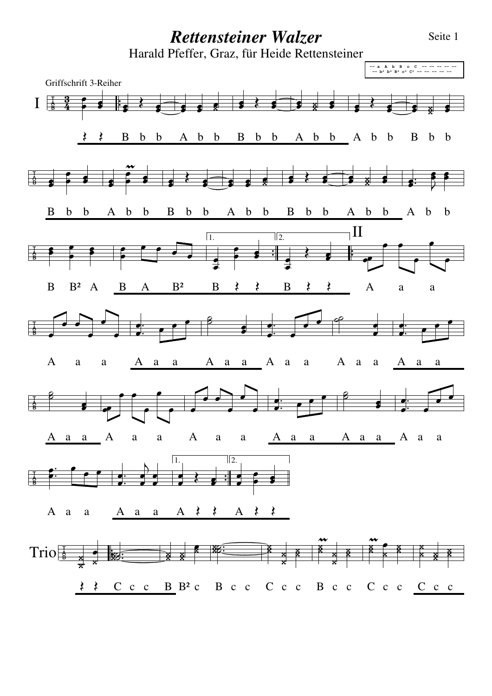## *Rettensteiner Walzer* Seite 1